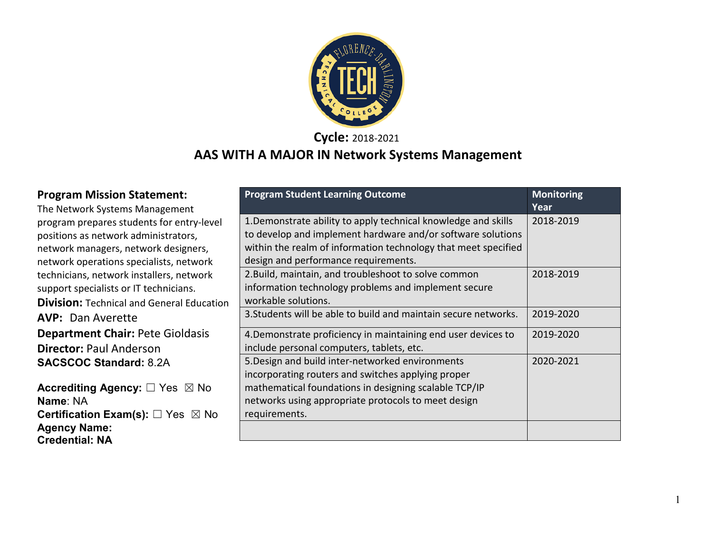

**Cycle:** 2018-2021

# **AAS WITH A MAJOR IN Network Systems Management**

| <b>Program Mission Statement:</b><br>The Network Systems Management | <b>Program Student Learning Outcome</b>                         | <b>Monitoring</b><br>Year |
|---------------------------------------------------------------------|-----------------------------------------------------------------|---------------------------|
| program prepares students for entry-level                           | 1. Demonstrate ability to apply technical knowledge and skills  | 2018-2019                 |
| positions as network administrators,                                | to develop and implement hardware and/or software solutions     |                           |
| network managers, network designers,                                | within the realm of information technology that meet specified  |                           |
| network operations specialists, network                             | design and performance requirements.                            |                           |
| technicians, network installers, network                            | 2. Build, maintain, and troubleshoot to solve common            | 2018-2019                 |
| support specialists or IT technicians.                              | information technology problems and implement secure            |                           |
| <b>Division: Technical and General Education</b>                    | workable solutions.                                             |                           |
| <b>AVP: Dan Averette</b>                                            | 3. Students will be able to build and maintain secure networks. | 2019-2020                 |
| <b>Department Chair: Pete Gioldasis</b>                             | 4. Demonstrate proficiency in maintaining end user devices to   | 2019-2020                 |
| <b>Director: Paul Anderson</b>                                      | include personal computers, tablets, etc.                       |                           |
| <b>SACSCOC Standard: 8.2A</b>                                       | 5. Design and build inter-networked environments                | 2020-2021                 |
|                                                                     | incorporating routers and switches applying proper              |                           |
| <b>Accrediting Agency:</b> □ Yes ⊠ No                               | mathematical foundations in designing scalable TCP/IP           |                           |
| Name: NA                                                            | networks using appropriate protocols to meet design             |                           |
| <b>Certification Exam(s):</b> $\Box$ Yes $\boxtimes$ No             | requirements.                                                   |                           |
| <b>Agency Name:</b>                                                 |                                                                 |                           |
| <b>Credential: NA</b>                                               |                                                                 |                           |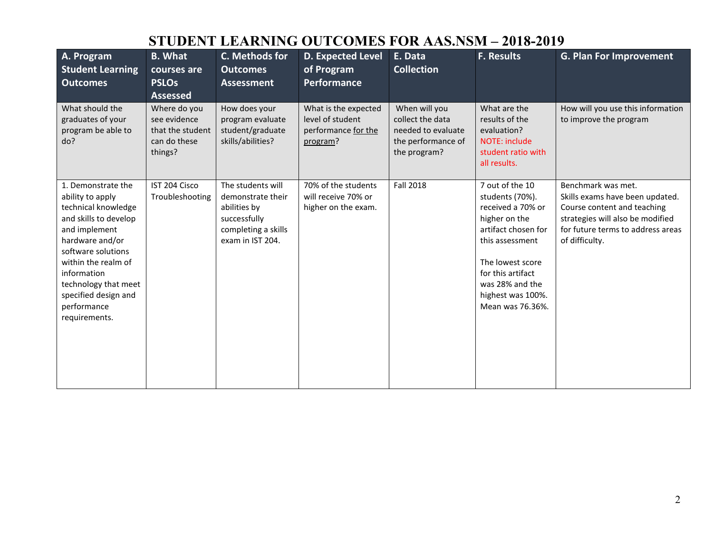# **STUDENT LEARNING OUTCOMES FOR AAS.NSM – 2018-2019**

| A. Program<br><b>Student Learning</b><br><b>Outcomes</b>                                                                                                                                                                                                               | <b>B.</b> What<br>courses are<br><b>PSLOs</b><br><b>Assessed</b>            | C. Methods for<br><b>Outcomes</b><br><b>Assessment</b>                                                            | <b>D. Expected Level</b><br>of Program<br><b>Performance</b>                | E. Data<br><b>Collection</b>                                                                  | <b>F. Results</b>                                                                                                                                                                                                       | <b>G. Plan For Improvement</b>                                                                                                                                                  |
|------------------------------------------------------------------------------------------------------------------------------------------------------------------------------------------------------------------------------------------------------------------------|-----------------------------------------------------------------------------|-------------------------------------------------------------------------------------------------------------------|-----------------------------------------------------------------------------|-----------------------------------------------------------------------------------------------|-------------------------------------------------------------------------------------------------------------------------------------------------------------------------------------------------------------------------|---------------------------------------------------------------------------------------------------------------------------------------------------------------------------------|
| What should the<br>graduates of your<br>program be able to<br>do?                                                                                                                                                                                                      | Where do you<br>see evidence<br>that the student<br>can do these<br>things? | How does your<br>program evaluate<br>student/graduate<br>skills/abilities?                                        | What is the expected<br>level of student<br>performance for the<br>program? | When will you<br>collect the data<br>needed to evaluate<br>the performance of<br>the program? | What are the<br>results of the<br>evaluation?<br><b>NOTE: include</b><br>student ratio with<br>all results.                                                                                                             | How will you use this information<br>to improve the program                                                                                                                     |
| 1. Demonstrate the<br>ability to apply<br>technical knowledge<br>and skills to develop<br>and implement<br>hardware and/or<br>software solutions<br>within the realm of<br>information<br>technology that meet<br>specified design and<br>performance<br>requirements. | IST 204 Cisco<br>Troubleshooting                                            | The students will<br>demonstrate their<br>abilities by<br>successfully<br>completing a skills<br>exam in IST 204. | 70% of the students<br>will receive 70% or<br>higher on the exam.           | <b>Fall 2018</b>                                                                              | 7 out of the 10<br>students (70%).<br>received a 70% or<br>higher on the<br>artifact chosen for<br>this assessment<br>The lowest score<br>for this artifact<br>was 28% and the<br>highest was 100%.<br>Mean was 76.36%. | Benchmark was met.<br>Skills exams have been updated.<br>Course content and teaching<br>strategies will also be modified<br>for future terms to address areas<br>of difficulty. |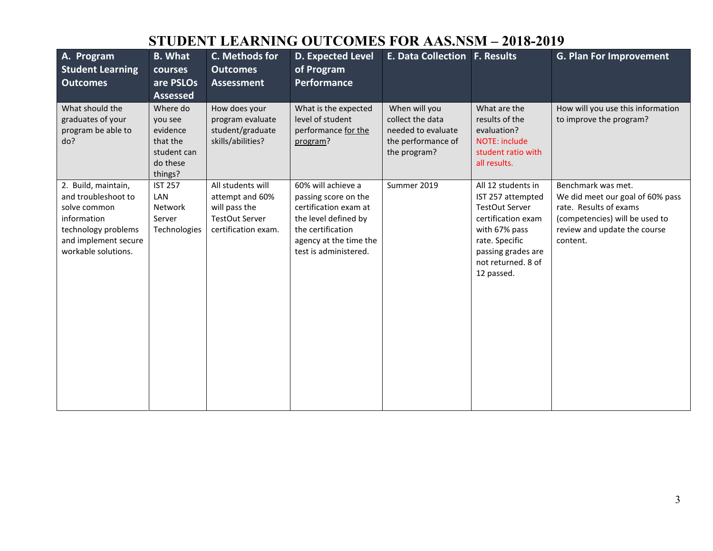# **STUDENT LEARNING OUTCOMES FOR AAS.NSM – 2018-2019**

| A. Program<br><b>Student Learning</b><br><b>Outcomes</b>                                                                                        | <b>B.</b> What<br>courses<br>are PSLOs<br><b>Assessed</b>                         | C. Methods for<br><b>Outcomes</b><br><b>Assessment</b>                                                | <b>D. Expected Level</b><br>of Program<br>Performance                                                                                                               | <b>E. Data Collection F. Results</b>                                                          |                                                                                                                                                                                     | <b>G. Plan For Improvement</b>                                                                                                                                 |
|-------------------------------------------------------------------------------------------------------------------------------------------------|-----------------------------------------------------------------------------------|-------------------------------------------------------------------------------------------------------|---------------------------------------------------------------------------------------------------------------------------------------------------------------------|-----------------------------------------------------------------------------------------------|-------------------------------------------------------------------------------------------------------------------------------------------------------------------------------------|----------------------------------------------------------------------------------------------------------------------------------------------------------------|
| What should the<br>graduates of your<br>program be able to<br>do?                                                                               | Where do<br>you see<br>evidence<br>that the<br>student can<br>do these<br>things? | How does your<br>program evaluate<br>student/graduate<br>skills/abilities?                            | What is the expected<br>level of student<br>performance for the<br>program?                                                                                         | When will you<br>collect the data<br>needed to evaluate<br>the performance of<br>the program? | What are the<br>results of the<br>evaluation?<br>NOTE: include<br>student ratio with<br>all results.                                                                                | How will you use this information<br>to improve the program?                                                                                                   |
| 2. Build, maintain,<br>and troubleshoot to<br>solve common<br>information<br>technology problems<br>and implement secure<br>workable solutions. | <b>IST 257</b><br>LAN<br><b>Network</b><br>Server<br>Technologies                 | All students will<br>attempt and 60%<br>will pass the<br><b>TestOut Server</b><br>certification exam. | 60% will achieve a<br>passing score on the<br>certification exam at<br>the level defined by<br>the certification<br>agency at the time the<br>test is administered. | Summer 2019                                                                                   | All 12 students in<br>IST 257 attempted<br><b>TestOut Server</b><br>certification exam<br>with 67% pass<br>rate. Specific<br>passing grades are<br>not returned. 8 of<br>12 passed. | Benchmark was met.<br>We did meet our goal of 60% pass<br>rate. Results of exams<br>(competencies) will be used to<br>review and update the course<br>content. |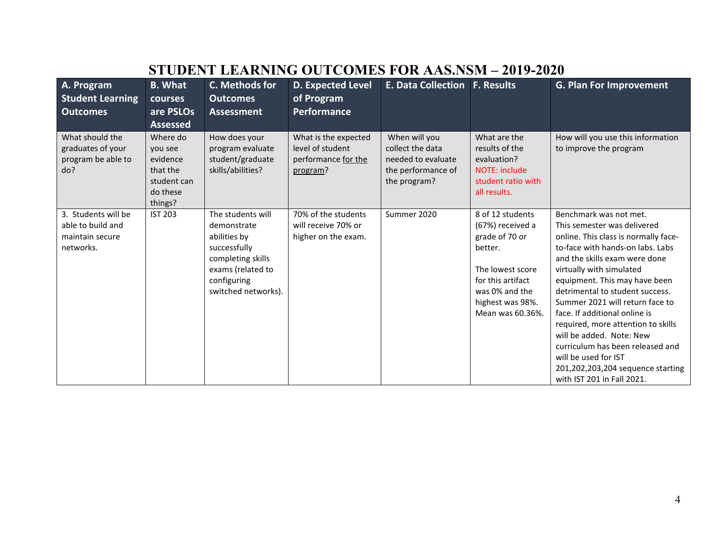|                                                                   |                                                            |                                                                            | оторыл пылилге остеолир гол правле                                          |                                                                                               |                                                                                             |                                                                   |
|-------------------------------------------------------------------|------------------------------------------------------------|----------------------------------------------------------------------------|-----------------------------------------------------------------------------|-----------------------------------------------------------------------------------------------|---------------------------------------------------------------------------------------------|-------------------------------------------------------------------|
| A. Program                                                        | <b>B.</b> What                                             | C. Methods for                                                             | <b>D. Expected Level</b>                                                    | <b>E. Data Collection F. Results</b>                                                          |                                                                                             | <b>G. Plan For Improvement</b>                                    |
| <b>Student Learning</b>                                           | courses                                                    | <b>Outcomes</b>                                                            | of Program                                                                  |                                                                                               |                                                                                             |                                                                   |
| <b>Outcomes</b>                                                   | are PSLOs                                                  | <b>Assessment</b>                                                          | <b>Performance</b>                                                          |                                                                                               |                                                                                             |                                                                   |
|                                                                   | <b>Assessed</b>                                            |                                                                            |                                                                             |                                                                                               |                                                                                             |                                                                   |
| What should the<br>graduates of your<br>program be able to<br>do? | Where do<br>you see<br>evidence<br>that the<br>student can | How does your<br>program evaluate<br>student/graduate<br>skills/abilities? | What is the expected<br>level of student<br>performance for the<br>program? | When will you<br>collect the data<br>needed to evaluate<br>the performance of<br>the program? | What are the<br>results of the<br>evaluation?<br><b>NOTE: include</b><br>student ratio with | How will you use this information<br>to improve the program       |
|                                                                   | do these<br>things?                                        |                                                                            |                                                                             |                                                                                               | all results.                                                                                |                                                                   |
| 3. Students will be                                               | <b>IST 203</b>                                             | The students will                                                          | 70% of the students                                                         | Summer 2020                                                                                   | 8 of 12 students                                                                            | Benchmark was not met.                                            |
| able to build and                                                 |                                                            | demonstrate                                                                | will receive 70% or                                                         |                                                                                               | (67%) received a                                                                            | This semester was delivered                                       |
| maintain secure                                                   |                                                            | abilities by                                                               | higher on the exam.                                                         |                                                                                               | grade of 70 or                                                                              | online. This class is normally face-                              |
| networks.                                                         |                                                            | successfully<br>completing skills                                          |                                                                             |                                                                                               | better.                                                                                     | to-face with hands-on labs. Labs<br>and the skills exam were done |
|                                                                   |                                                            | exams (related to                                                          |                                                                             |                                                                                               | The lowest score                                                                            | virtually with simulated                                          |
|                                                                   |                                                            | configuring                                                                |                                                                             |                                                                                               | for this artifact                                                                           | equipment. This may have been                                     |
|                                                                   |                                                            | switched networks).                                                        |                                                                             |                                                                                               | was 0% and the                                                                              | detrimental to student success.                                   |
|                                                                   |                                                            |                                                                            |                                                                             |                                                                                               | highest was 98%.                                                                            | Summer 2021 will return face to                                   |
|                                                                   |                                                            |                                                                            |                                                                             |                                                                                               | Mean was 60.36%.                                                                            | face. If additional online is                                     |
|                                                                   |                                                            |                                                                            |                                                                             |                                                                                               |                                                                                             | required, more attention to skills                                |
|                                                                   |                                                            |                                                                            |                                                                             |                                                                                               |                                                                                             | will be added. Note: New                                          |
|                                                                   |                                                            |                                                                            |                                                                             |                                                                                               |                                                                                             | curriculum has been released and                                  |
|                                                                   |                                                            |                                                                            |                                                                             |                                                                                               |                                                                                             | will be used for IST                                              |
|                                                                   |                                                            |                                                                            |                                                                             |                                                                                               |                                                                                             | 201,202,203,204 sequence starting                                 |
|                                                                   |                                                            |                                                                            |                                                                             |                                                                                               |                                                                                             | with IST 201 in Fall 2021.                                        |

### **STUDENT LEARNING OUTCOMES FOR AAS.NSM – 2019-2020**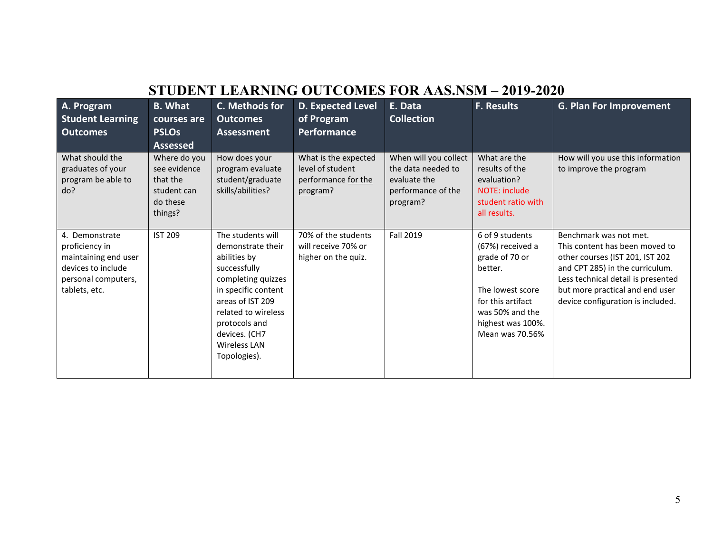| STUDENT LEARNING OUTCOMES FOR AAS.NSM – 2019-2020                                                                      |                                                                                |                                                                                                                                                                                                                                  |                                                                             |                                                                                               |                                                                                                                                                                      |                                                                                                                                                                                                                                              |
|------------------------------------------------------------------------------------------------------------------------|--------------------------------------------------------------------------------|----------------------------------------------------------------------------------------------------------------------------------------------------------------------------------------------------------------------------------|-----------------------------------------------------------------------------|-----------------------------------------------------------------------------------------------|----------------------------------------------------------------------------------------------------------------------------------------------------------------------|----------------------------------------------------------------------------------------------------------------------------------------------------------------------------------------------------------------------------------------------|
| A. Program<br><b>Student Learning</b><br><b>Outcomes</b>                                                               | <b>B.</b> What<br>courses are<br><b>PSLOs</b><br><b>Assessed</b>               | C. Methods for<br><b>Outcomes</b><br><b>Assessment</b>                                                                                                                                                                           | D. Expected Level<br>of Program<br>Performance                              | E. Data<br><b>Collection</b>                                                                  | <b>F. Results</b>                                                                                                                                                    | <b>G. Plan For Improvement</b>                                                                                                                                                                                                               |
| What should the<br>graduates of your<br>program be able to<br>do?                                                      | Where do you<br>see evidence<br>that the<br>student can<br>do these<br>things? | How does your<br>program evaluate<br>student/graduate<br>skills/abilities?                                                                                                                                                       | What is the expected<br>level of student<br>performance for the<br>program? | When will you collect<br>the data needed to<br>evaluate the<br>performance of the<br>program? | What are the<br>results of the<br>evaluation?<br><b>NOTE: include</b><br>student ratio with<br>all results.                                                          | How will you use this information<br>to improve the program                                                                                                                                                                                  |
| 4. Demonstrate<br>proficiency in<br>maintaining end user<br>devices to include<br>personal computers,<br>tablets, etc. | <b>IST 209</b>                                                                 | The students will<br>demonstrate their<br>abilities by<br>successfully<br>completing quizzes<br>in specific content<br>areas of IST 209<br>related to wireless<br>protocols and<br>devices. (CH7<br>Wireless LAN<br>Topologies). | 70% of the students<br>will receive 70% or<br>higher on the quiz.           | Fall 2019                                                                                     | 6 of 9 students<br>(67%) received a<br>grade of 70 or<br>better.<br>The lowest score<br>for this artifact<br>was 50% and the<br>highest was 100%.<br>Mean was 70.56% | Benchmark was not met.<br>This content has been moved to<br>other courses (IST 201, IST 202<br>and CPT 285) in the curriculum.<br>Less technical detail is presented<br>but more practical and end user<br>device configuration is included. |

#### **STUDENT LEARNING OUTCOMES FOR AAS.NSM – 2019-2020**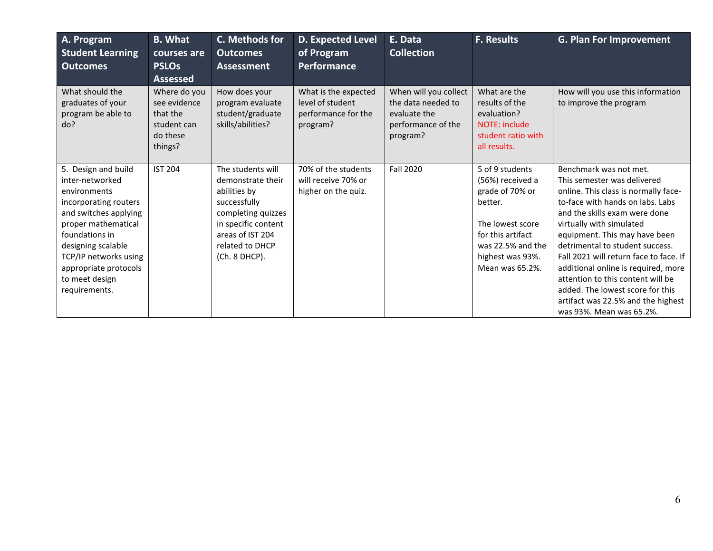| A. Program<br><b>Student Learning</b><br><b>Outcomes</b>                                                                                                                                                                                                     | <b>B.</b> What<br>courses are<br><b>PSLOs</b><br><b>Assessed</b>               | C. Methods for<br><b>Outcomes</b><br><b>Assessment</b>                                                                                                                      | <b>D. Expected Level</b><br>of Program<br><b>Performance</b>                | E. Data<br><b>Collection</b>                                                                  | <b>F. Results</b>                                                                                                                                                      | <b>G. Plan For Improvement</b>                                                                                                                                                                                                                                                                                                                                                                                                                                                                 |
|--------------------------------------------------------------------------------------------------------------------------------------------------------------------------------------------------------------------------------------------------------------|--------------------------------------------------------------------------------|-----------------------------------------------------------------------------------------------------------------------------------------------------------------------------|-----------------------------------------------------------------------------|-----------------------------------------------------------------------------------------------|------------------------------------------------------------------------------------------------------------------------------------------------------------------------|------------------------------------------------------------------------------------------------------------------------------------------------------------------------------------------------------------------------------------------------------------------------------------------------------------------------------------------------------------------------------------------------------------------------------------------------------------------------------------------------|
| What should the<br>graduates of your<br>program be able to<br>do?                                                                                                                                                                                            | Where do you<br>see evidence<br>that the<br>student can<br>do these<br>things? | How does your<br>program evaluate<br>student/graduate<br>skills/abilities?                                                                                                  | What is the expected<br>level of student<br>performance for the<br>program? | When will you collect<br>the data needed to<br>evaluate the<br>performance of the<br>program? | What are the<br>results of the<br>evaluation?<br>NOTE: include<br>student ratio with<br>all results.                                                                   | How will you use this information<br>to improve the program                                                                                                                                                                                                                                                                                                                                                                                                                                    |
| 5. Design and build<br>inter-networked<br>environments<br>incorporating routers<br>and switches applying<br>proper mathematical<br>foundations in<br>designing scalable<br>TCP/IP networks using<br>appropriate protocols<br>to meet design<br>requirements. | <b>IST 204</b>                                                                 | The students will<br>demonstrate their<br>abilities by<br>successfully<br>completing quizzes<br>in specific content<br>areas of IST 204<br>related to DHCP<br>(Ch. 8 DHCP). | 70% of the students<br>will receive 70% or<br>higher on the quiz.           | <b>Fall 2020</b>                                                                              | 5 of 9 students<br>(56%) received a<br>grade of 70% or<br>better.<br>The lowest score<br>for this artifact<br>was 22.5% and the<br>highest was 93%.<br>Mean was 65.2%. | Benchmark was not met.<br>This semester was delivered<br>online. This class is normally face-<br>to-face with hands on labs. Labs<br>and the skills exam were done<br>virtually with simulated<br>equipment. This may have been<br>detrimental to student success.<br>Fall 2021 will return face to face. If<br>additional online is required, more<br>attention to this content will be<br>added. The lowest score for this<br>artifact was 22.5% and the highest<br>was 93%. Mean was 65.2%. |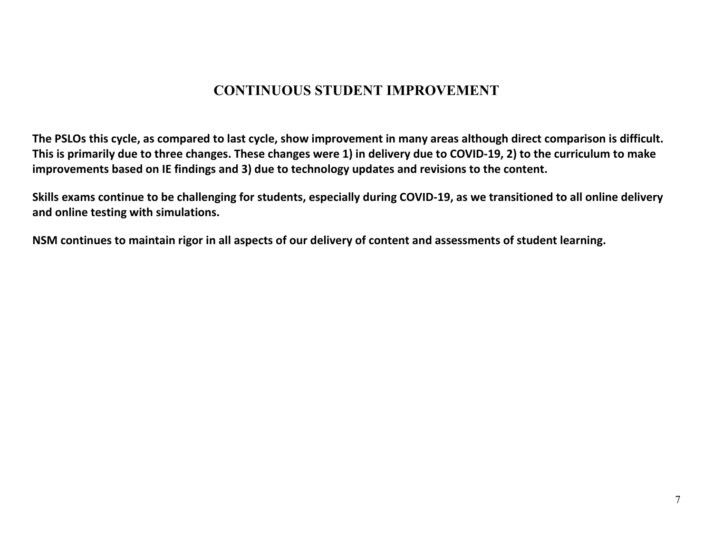### **CONTINUOUS STUDENT IMPROVEMENT**

**The PSLOs this cycle, as compared to last cycle, show improvement in many areas although direct comparison is difficult. This is primarily due to three changes. These changes were 1) in delivery due to COVID-19, 2) to the curriculum to make improvements based on IE findings and 3) due to technology updates and revisions to the content.**

**Skills exams continue to be challenging for students, especially during COVID-19, as we transitioned to all online delivery and online testing with simulations.**

**NSM continues to maintain rigor in all aspects of our delivery of content and assessments of student learning.**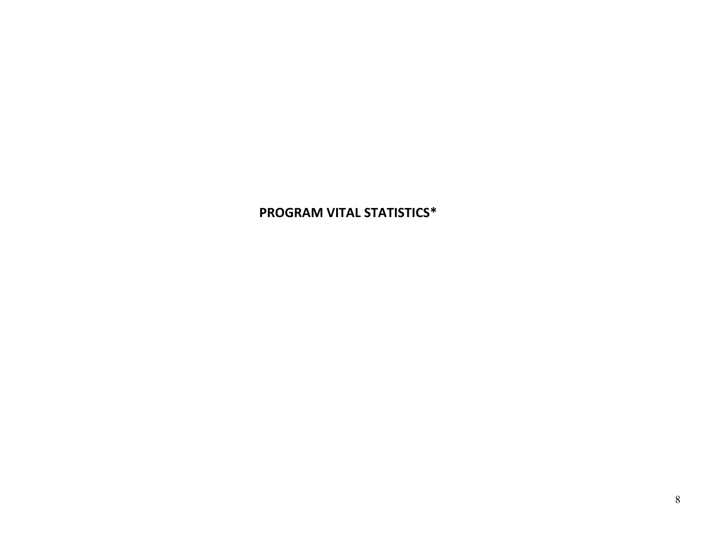#### **PROGRAM VITAL STATISTICS\***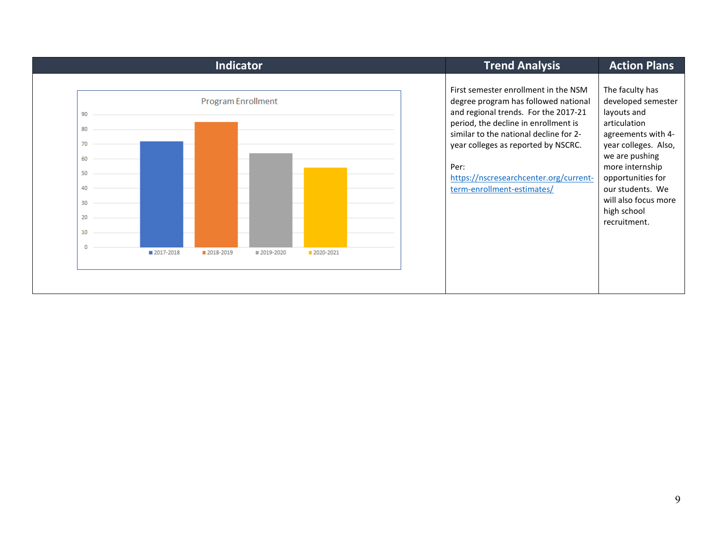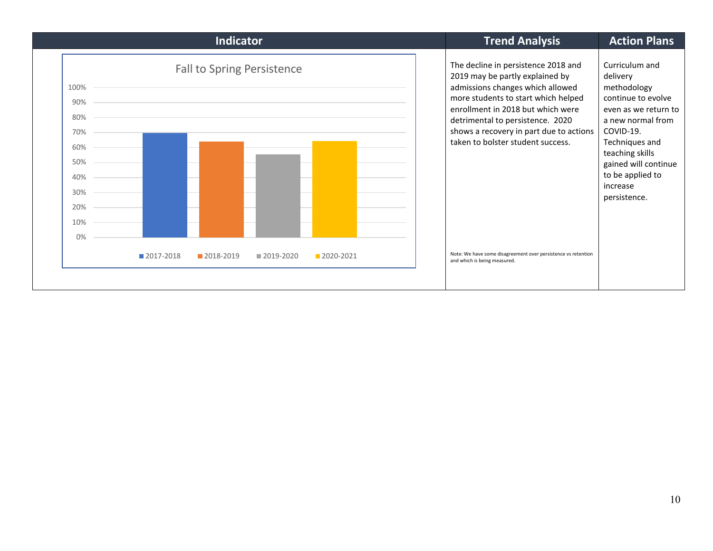|                                                                                        | <b>Indicator</b>                                            |           | <b>Trend Analysis</b>                                                                                                                                                                                                                                                                                                                                                                                       | <b>Action Plans</b>                                                                                                                                                                                                                    |
|----------------------------------------------------------------------------------------|-------------------------------------------------------------|-----------|-------------------------------------------------------------------------------------------------------------------------------------------------------------------------------------------------------------------------------------------------------------------------------------------------------------------------------------------------------------------------------------------------------------|----------------------------------------------------------------------------------------------------------------------------------------------------------------------------------------------------------------------------------------|
| 100%<br>90%<br>80%<br>70%<br>60%<br>50%<br>40%<br>30%<br>20%<br>10%<br>0%<br>2017-2018 | <b>Fall to Spring Persistence</b><br>2018-2019<br>2019-2020 | 2020-2021 | The decline in persistence 2018 and<br>2019 may be partly explained by<br>admissions changes which allowed<br>more students to start which helped<br>enrollment in 2018 but which were<br>detrimental to persistence. 2020<br>shows a recovery in part due to actions<br>taken to bolster student success.<br>Note: We have some disagreement over persistence vs retention<br>and which is being measured. | Curriculum and<br>delivery<br>methodology<br>continue to evolve<br>even as we return to<br>a new normal from<br>COVID-19.<br>Techniques and<br>teaching skills<br>gained will continue<br>to be applied to<br>increase<br>persistence. |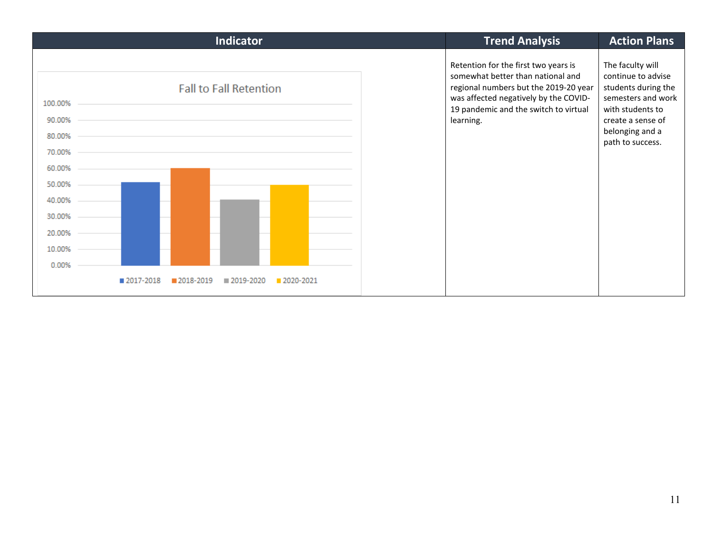| <b>Indicator</b>                                                                                                         | <b>Trend Analysis</b>                                                                                                                                                                                             | <b>Action Plans</b>                                                                                                                                                 |
|--------------------------------------------------------------------------------------------------------------------------|-------------------------------------------------------------------------------------------------------------------------------------------------------------------------------------------------------------------|---------------------------------------------------------------------------------------------------------------------------------------------------------------------|
| <b>Fall to Fall Retention</b><br>100.00%<br>90.00%<br>80.00%<br>70.00%<br>60.00%<br>50.00%<br>40.00%<br>30.00%<br>20.00% | Retention for the first two years is<br>somewhat better than national and<br>regional numbers but the 2019-20 year<br>was affected negatively by the COVID-<br>19 pandemic and the switch to virtual<br>learning. | The faculty will<br>continue to advise<br>students during the<br>semesters and work<br>with students to<br>create a sense of<br>belonging and a<br>path to success. |
| 10.00%<br>0.00%                                                                                                          |                                                                                                                                                                                                                   |                                                                                                                                                                     |
| ■ 2017-2018<br>2018-2019<br>■ 2019-2020<br>2020-2021                                                                     |                                                                                                                                                                                                                   |                                                                                                                                                                     |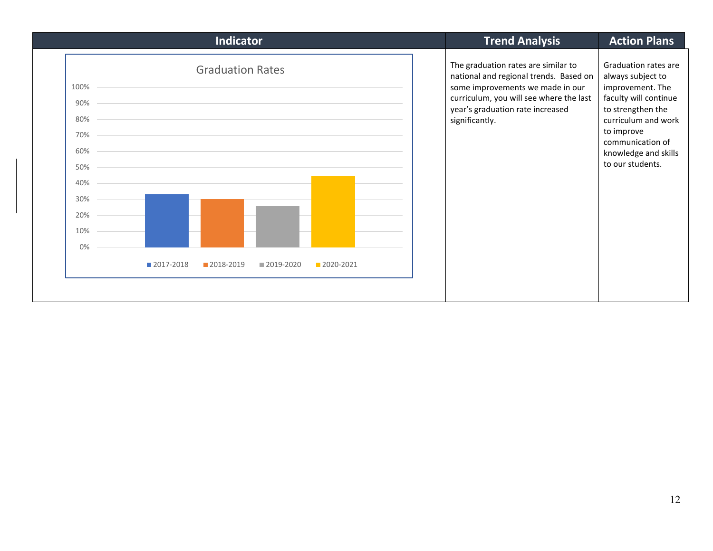| Indicator                                                                                                                                                | <b>Trend Analysis</b>                                                                                                                                                                                              | <b>Action Plans</b>                                                                                                                                                                                              |
|----------------------------------------------------------------------------------------------------------------------------------------------------------|--------------------------------------------------------------------------------------------------------------------------------------------------------------------------------------------------------------------|------------------------------------------------------------------------------------------------------------------------------------------------------------------------------------------------------------------|
| <b>Graduation Rates</b><br>100%<br>90%<br>80%<br>70%<br>60%<br>50%<br>40%<br>30%<br>20%<br>10%<br>0%<br>2017-2018<br>2018-2019<br>2020-2021<br>2019-2020 | The graduation rates are similar to<br>national and regional trends. Based on<br>some improvements we made in our<br>curriculum, you will see where the last<br>year's graduation rate increased<br>significantly. | Graduation rates are<br>always subject to<br>improvement. The<br>faculty will continue<br>to strengthen the<br>curriculum and work<br>to improve<br>communication of<br>knowledge and skills<br>to our students. |
|                                                                                                                                                          |                                                                                                                                                                                                                    |                                                                                                                                                                                                                  |